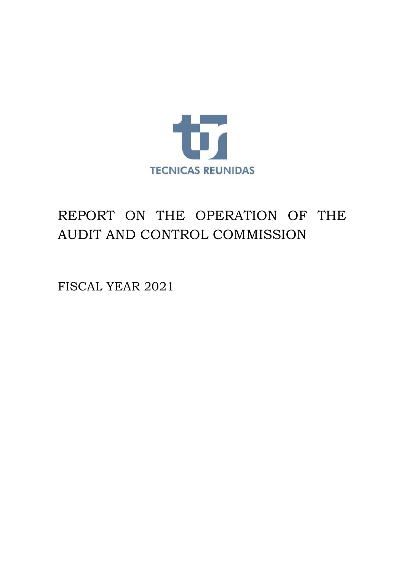

# REPORT ON THE OPERATION OF THE AUDIT AND CONTROL COMMISSION

FISCAL YEAR 2021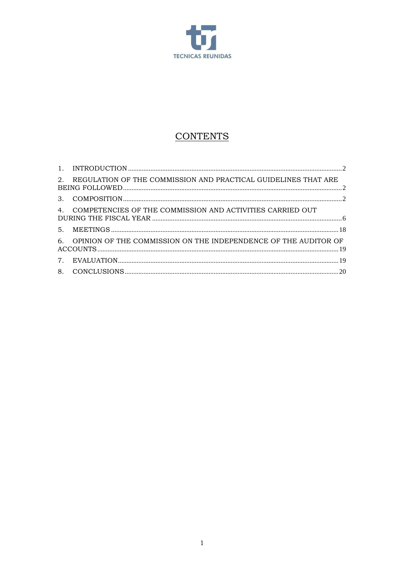

# **CONTENTS**

|    | 2. REGULATION OF THE COMMISSION AND PRACTICAL GUIDELINES THAT ARE  |  |
|----|--------------------------------------------------------------------|--|
|    |                                                                    |  |
|    | 4. COMPETENCIES OF THE COMMISSION AND ACTIVITIES CARRIED OUT       |  |
|    |                                                                    |  |
|    | 6. OPINION OF THE COMMISSION ON THE INDEPENDENCE OF THE AUDITOR OF |  |
|    |                                                                    |  |
| 8. |                                                                    |  |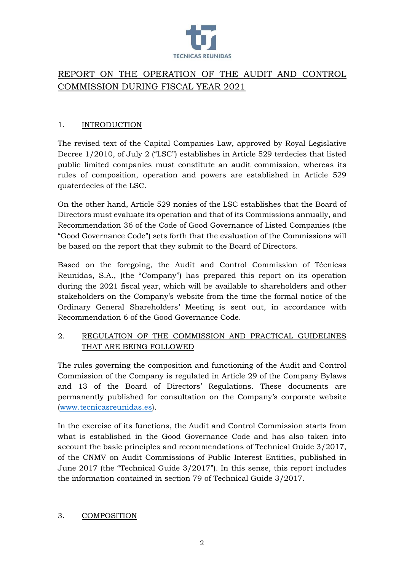

# REPORT ON THE OPERATION OF THE AUDIT AND CONTROL COMMISSION DURING FISCAL YEAR 2021

### <span id="page-2-0"></span>1. INTRODUCTION

The revised text of the Capital Companies Law, approved by Royal Legislative Decree 1/2010, of July 2 ("LSC") establishes in Article 529 terdecies that listed public limited companies must constitute an audit commission, whereas its rules of composition, operation and powers are established in Article 529 quaterdecies of the LSC.

On the other hand, Article 529 nonies of the LSC establishes that the Board of Directors must evaluate its operation and that of its Commissions annually, and Recommendation 36 of the Code of Good Governance of Listed Companies (the "Good Governance Code") sets forth that the evaluation of the Commissions will be based on the report that they submit to the Board of Directors.

Based on the foregoing, the Audit and Control Commission of Técnicas Reunidas, S.A., (the "Company") has prepared this report on its operation during the 2021 fiscal year, which will be available to shareholders and other stakeholders on the Company's website from the time the formal notice of the Ordinary General Shareholders' Meeting is sent out, in accordance with Recommendation 6 of the Good Governance Code.

# <span id="page-2-1"></span>2. REGULATION OF THE COMMISSION AND PRACTICAL GUIDELINES THAT ARE BEING FOLLOWED

The rules governing the composition and functioning of the Audit and Control Commission of the Company is regulated in Article 29 of the Company Bylaws and 13 of the Board of Directors' Regulations. These documents are permanently published for consultation on the Company's corporate website [\(www.tecnicasreunidas.es\)](http://www.tecnicasreunidas.es/).

In the exercise of its functions, the Audit and Control Commission starts from what is established in the Good Governance Code and has also taken into account the basic principles and recommendations of Technical Guide 3/2017, of the CNMV on Audit Commissions of Public Interest Entities, published in June 2017 (the "Technical Guide 3/2017"). In this sense, this report includes the information contained in section 79 of Technical Guide 3/2017.

#### <span id="page-2-2"></span>3. COMPOSITION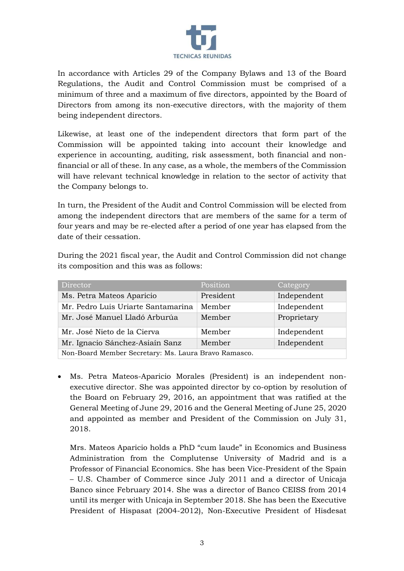

In accordance with Articles 29 of the Company Bylaws and 13 of the Board Regulations, the Audit and Control Commission must be comprised of a minimum of three and a maximum of five directors, appointed by the Board of Directors from among its non-executive directors, with the majority of them being independent directors.

Likewise, at least one of the independent directors that form part of the Commission will be appointed taking into account their knowledge and experience in accounting, auditing, risk assessment, both financial and nonfinancial or all of these. In any case, as a whole, the members of the Commission will have relevant technical knowledge in relation to the sector of activity that the Company belongs to.

In turn, the President of the Audit and Control Commission will be elected from among the independent directors that are members of the same for a term of four years and may be re-elected after a period of one year has elapsed from the date of their cessation.

During the 2021 fiscal year, the Audit and Control Commission did not change its composition and this was as follows:

| Director                                             | Position  | Category    |  |  |
|------------------------------------------------------|-----------|-------------|--|--|
| Ms. Petra Mateos Aparicio                            | President | Independent |  |  |
| Mr. Pedro Luis Uriarte Santamarina                   | Member    | Independent |  |  |
| Mr. José Manuel Lladó Arburúa                        | Member    | Proprietary |  |  |
| Mr. José Nieto de la Cierva                          | Member    | Independent |  |  |
| Mr. Ignacio Sánchez-Asiaín Sanz                      | Member    | Independent |  |  |
| Non-Board Member Secretary: Ms. Laura Bravo Ramasco. |           |             |  |  |

• Ms. Petra Mateos-Aparicio Morales (President) is an independent nonexecutive director. She was appointed director by co-option by resolution of the Board on February 29, 2016, an appointment that was ratified at the General Meeting of June 29, 2016 and the General Meeting of June 25, 2020 and appointed as member and President of the Commission on July 31, 2018.

Mrs. Mateos Aparicio holds a PhD "cum laude" in Economics and Business Administration from the Complutense University of Madrid and is a Professor of Financial Economics. She has been Vice-President of the Spain – U.S. Chamber of Commerce since July 2011 and a director of Unicaja Banco since February 2014. She was a director of Banco CEISS from 2014 until its merger with Unicaja in September 2018. She has been the Executive President of Hispasat (2004-2012), Non-Executive President of Hisdesat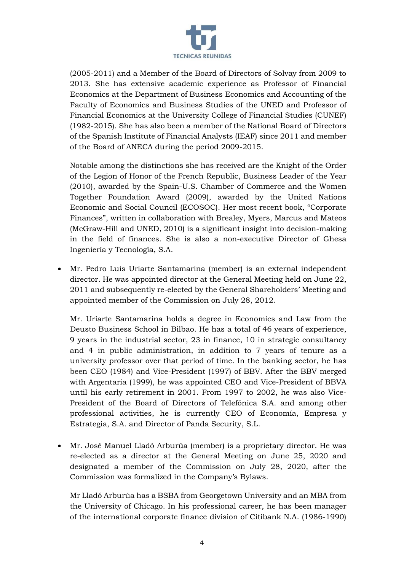

(2005-2011) and a Member of the Board of Directors of Solvay from 2009 to 2013. She has extensive academic experience as Professor of Financial Economics at the Department of Business Economics and Accounting of the Faculty of Economics and Business Studies of the UNED and Professor of Financial Economics at the University College of Financial Studies (CUNEF) (1982-2015). She has also been a member of the National Board of Directors of the Spanish Institute of Financial Analysts (IEAF) since 2011 and member of the Board of ANECA during the period 2009-2015.

Notable among the distinctions she has received are the Knight of the Order of the Legion of Honor of the French Republic, Business Leader of the Year (2010), awarded by the Spain-U.S. Chamber of Commerce and the Women Together Foundation Award (2009), awarded by the United Nations Economic and Social Council (ECOSOC). Her most recent book, "Corporate Finances", written in collaboration with Brealey, Myers, Marcus and Mateos (McGraw-Hill and UNED, 2010) is a significant insight into decision-making in the field of finances. She is also a non-executive Director of Ghesa Ingeniería y Tecnología, S.A.

• Mr. Pedro Luis Uriarte Santamarina (member) is an external independent director. He was appointed director at the General Meeting held on June 22, 2011 and subsequently re-elected by the General Shareholders' Meeting and appointed member of the Commission on July 28, 2012.

Mr. Uriarte Santamarina holds a degree in Economics and Law from the Deusto Business School in Bilbao. He has a total of 46 years of experience, 9 years in the industrial sector, 23 in finance, 10 in strategic consultancy and 4 in public administration, in addition to 7 years of tenure as a university professor over that period of time. In the banking sector, he has been CEO (1984) and Vice-President (1997) of BBV. After the BBV merged with Argentaria (1999), he was appointed CEO and Vice-President of BBVA until his early retirement in 2001. From 1997 to 2002, he was also Vice-President of the Board of Directors of Telefónica S.A. and among other professional activities, he is currently CEO of Economía, Empresa y Estrategia, S.A. and Director of Panda Security, S.L.

• Mr. José Manuel Lladó Arburúa (member) is a proprietary director. He was re-elected as a director at the General Meeting on June 25, 2020 and designated a member of the Commission on July 28, 2020, after the Commission was formalized in the Company's Bylaws.

Mr Lladó Arburúa has a BSBA from Georgetown University and an MBA from the University of Chicago. In his professional career, he has been manager of the international corporate finance division of Citibank N.A. (1986-1990)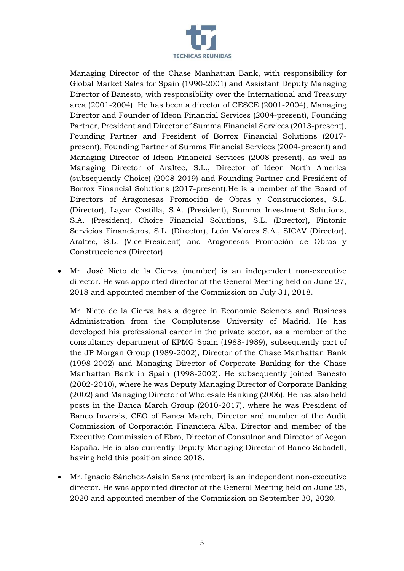

Managing Director of the Chase Manhattan Bank, with responsibility for Global Market Sales for Spain (1990-2001) and Assistant Deputy Managing Director of Banesto, with responsibility over the International and Treasury area (2001-2004). He has been a director of CESCE (2001-2004), Managing Director and Founder of Ideon Financial Services (2004-present), Founding Partner, President and Director of Summa Financial Services (2013-present), Founding Partner and President of Borrox Financial Solutions (2017 present), Founding Partner of Summa Financial Services (2004-present) and Managing Director of Ideon Financial Services (2008-present), as well as Managing Director of Araltec, S.L., Director of Ideon North America (subsequently Choice) (2008-2019) and Founding Partner and President of Borrox Financial Solutions (2017-present).He is a member of the Board of Directors of Aragonesas Promoción de Obras y Construcciones, S.L. (Director), Layar Castilla, S.A. (President), Summa Investment Solutions, S.A. (President), Choice Financial Solutions, S.L. (Director), Fintonic Servicios Financieros, S.L. (Director), León Valores S.A., SICAV (Director), Araltec, S.L. (Vice-President) and Aragonesas Promoción de Obras y Construcciones (Director).

• Mr. José Nieto de la Cierva (member) is an independent non-executive director. He was appointed director at the General Meeting held on June 27, 2018 and appointed member of the Commission on July 31, 2018.

Mr. Nieto de la Cierva has a degree in Economic Sciences and Business Administration from the Complutense University of Madrid. He has developed his professional career in the private sector, as a member of the consultancy department of KPMG Spain (1988-1989), subsequently part of the JP Morgan Group (1989-2002), Director of the Chase Manhattan Bank (1998-2002) and Managing Director of Corporate Banking for the Chase Manhattan Bank in Spain (1998-2002). He subsequently joined Banesto (2002-2010), where he was Deputy Managing Director of Corporate Banking (2002) and Managing Director of Wholesale Banking (2006). He has also held posts in the Banca March Group (2010-2017), where he was President of Banco Inversis, CEO of Banca March, Director and member of the Audit Commission of Corporación Financiera Alba, Director and member of the Executive Commission of Ebro, Director of Consulnor and Director of Aegon España. He is also currently Deputy Managing Director of Banco Sabadell, having held this position since 2018.

• Mr. Ignacio Sánchez-Asiaín Sanz (member) is an independent non-executive director. He was appointed director at the General Meeting held on June 25, 2020 and appointed member of the Commission on September 30, 2020.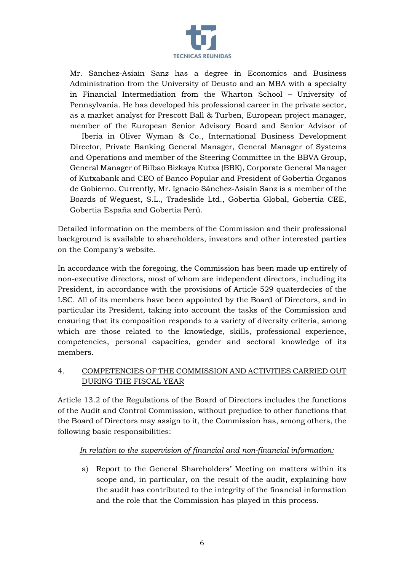

Mr. Sánchez-Asiaín Sanz has a degree in Economics and Business Administration from the University of Deusto and an MBA with a specialty in Financial Intermediation from the Wharton School – University of Pennsylvania. He has developed his professional career in the private sector, as a market analyst for Prescott Ball & Turben, European project manager, member of the European Senior Advisory Board and Senior Advisor of

Iberia in Oliver Wyman & Co., International Business Development Director, Private Banking General Manager, General Manager of Systems and Operations and member of the Steering Committee in the BBVA Group, General Manager of Bilbao Bizkaya Kutxa (BBK), Corporate General Manager of Kutxabank and CEO of Banco Popular and President of Gobertia Órganos de Gobierno. Currently, Mr. Ignacio Sánchez-Asiaín Sanz is a member of the Boards of Weguest, S.L., Tradeslide Ltd., Gobertia Global, Gobertia CEE, Gobertia España and Gobertia Perú.

Detailed information on the members of the Commission and their professional background is available to shareholders, investors and other interested parties on the Company's website.

In accordance with the foregoing, the Commission has been made up entirely of non-executive directors, most of whom are independent directors, including its President, in accordance with the provisions of Article 529 quaterdecies of the LSC. All of its members have been appointed by the Board of Directors, and in particular its President, taking into account the tasks of the Commission and ensuring that its composition responds to a variety of diversity criteria, among which are those related to the knowledge, skills, professional experience, competencies, personal capacities, gender and sectoral knowledge of its members.

### <span id="page-6-0"></span>4. COMPETENCIES OF THE COMMISSION AND ACTIVITIES CARRIED OUT DURING THE FISCAL YEAR

Article 13.2 of the Regulations of the Board of Directors includes the functions of the Audit and Control Commission, without prejudice to other functions that the Board of Directors may assign to it, the Commission has, among others, the following basic responsibilities:

# *In relation to the supervision of financial and non-financial information:*

a) Report to the General Shareholders' Meeting on matters within its scope and, in particular, on the result of the audit, explaining how the audit has contributed to the integrity of the financial information and the role that the Commission has played in this process.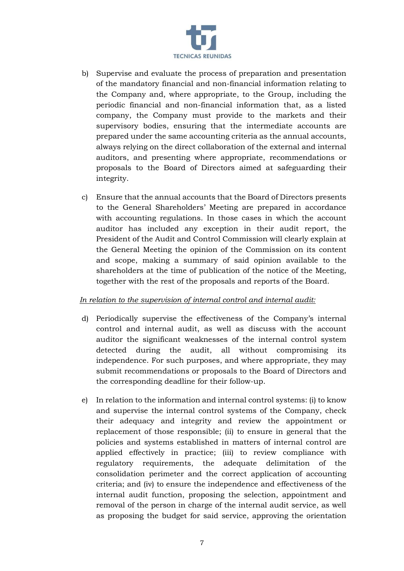

- b) Supervise and evaluate the process of preparation and presentation of the mandatory financial and non-financial information relating to the Company and, where appropriate, to the Group, including the periodic financial and non-financial information that, as a listed company, the Company must provide to the markets and their supervisory bodies, ensuring that the intermediate accounts are prepared under the same accounting criteria as the annual accounts, always relying on the direct collaboration of the external and internal auditors, and presenting where appropriate, recommendations or proposals to the Board of Directors aimed at safeguarding their integrity.
- c) Ensure that the annual accounts that the Board of Directors presents to the General Shareholders' Meeting are prepared in accordance with accounting regulations. In those cases in which the account auditor has included any exception in their audit report, the President of the Audit and Control Commission will clearly explain at the General Meeting the opinion of the Commission on its content and scope, making a summary of said opinion available to the shareholders at the time of publication of the notice of the Meeting, together with the rest of the proposals and reports of the Board.

#### *In relation to the supervision of internal control and internal audit:*

- d) Periodically supervise the effectiveness of the Company's internal control and internal audit, as well as discuss with the account auditor the significant weaknesses of the internal control system detected during the audit, all without compromising its independence. For such purposes, and where appropriate, they may submit recommendations or proposals to the Board of Directors and the corresponding deadline for their follow-up.
- e) In relation to the information and internal control systems: (i) to know and supervise the internal control systems of the Company, check their adequacy and integrity and review the appointment or replacement of those responsible; (ii) to ensure in general that the policies and systems established in matters of internal control are applied effectively in practice; (iii) to review compliance with regulatory requirements, the adequate delimitation of the consolidation perimeter and the correct application of accounting criteria; and (iv) to ensure the independence and effectiveness of the internal audit function, proposing the selection, appointment and removal of the person in charge of the internal audit service, as well as proposing the budget for said service, approving the orientation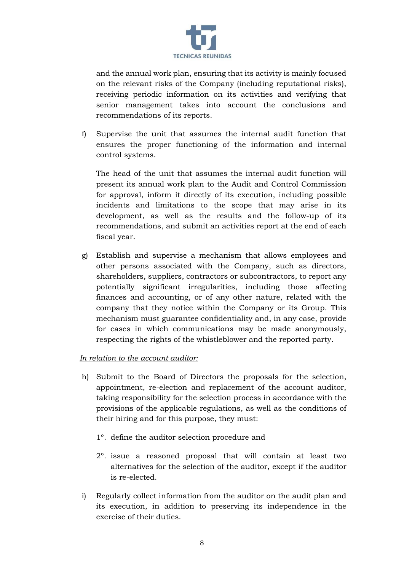

and the annual work plan, ensuring that its activity is mainly focused on the relevant risks of the Company (including reputational risks), receiving periodic information on its activities and verifying that senior management takes into account the conclusions and recommendations of its reports.

f) Supervise the unit that assumes the internal audit function that ensures the proper functioning of the information and internal control systems.

The head of the unit that assumes the internal audit function will present its annual work plan to the Audit and Control Commission for approval, inform it directly of its execution, including possible incidents and limitations to the scope that may arise in its development, as well as the results and the follow-up of its recommendations, and submit an activities report at the end of each fiscal year.

g) Establish and supervise a mechanism that allows employees and other persons associated with the Company, such as directors, shareholders, suppliers, contractors or subcontractors, to report any potentially significant irregularities, including those affecting finances and accounting, or of any other nature, related with the company that they notice within the Company or its Group. This mechanism must guarantee confidentiality and, in any case, provide for cases in which communications may be made anonymously, respecting the rights of the whistleblower and the reported party.

#### *In relation to the account auditor:*

- h) Submit to the Board of Directors the proposals for the selection, appointment, re-election and replacement of the account auditor, taking responsibility for the selection process in accordance with the provisions of the applicable regulations, as well as the conditions of their hiring and for this purpose, they must:
	- 1º. define the auditor selection procedure and
	- 2º. issue a reasoned proposal that will contain at least two alternatives for the selection of the auditor, except if the auditor is re-elected.
- i) Regularly collect information from the auditor on the audit plan and its execution, in addition to preserving its independence in the exercise of their duties.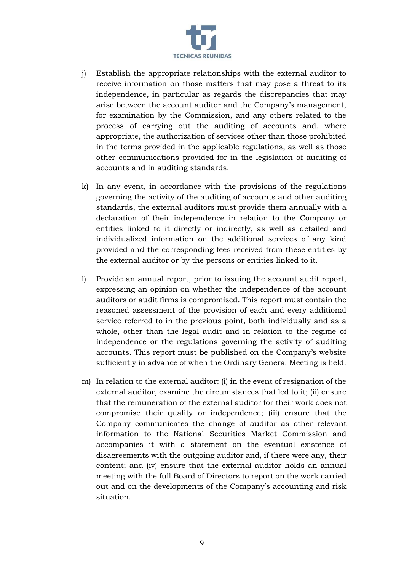

- j) Establish the appropriate relationships with the external auditor to receive information on those matters that may pose a threat to its independence, in particular as regards the discrepancies that may arise between the account auditor and the Company's management, for examination by the Commission, and any others related to the process of carrying out the auditing of accounts and, where appropriate, the authorization of services other than those prohibited in the terms provided in the applicable regulations, as well as those other communications provided for in the legislation of auditing of accounts and in auditing standards.
- k) In any event, in accordance with the provisions of the regulations governing the activity of the auditing of accounts and other auditing standards, the external auditors must provide them annually with a declaration of their independence in relation to the Company or entities linked to it directly or indirectly, as well as detailed and individualized information on the additional services of any kind provided and the corresponding fees received from these entities by the external auditor or by the persons or entities linked to it.
- l) Provide an annual report, prior to issuing the account audit report, expressing an opinion on whether the independence of the account auditors or audit firms is compromised. This report must contain the reasoned assessment of the provision of each and every additional service referred to in the previous point, both individually and as a whole, other than the legal audit and in relation to the regime of independence or the regulations governing the activity of auditing accounts. This report must be published on the Company's website sufficiently in advance of when the Ordinary General Meeting is held.
- m) In relation to the external auditor: (i) in the event of resignation of the external auditor, examine the circumstances that led to it; (ii) ensure that the remuneration of the external auditor for their work does not compromise their quality or independence; (iii) ensure that the Company communicates the change of auditor as other relevant information to the National Securities Market Commission and accompanies it with a statement on the eventual existence of disagreements with the outgoing auditor and, if there were any, their content; and (iv) ensure that the external auditor holds an annual meeting with the full Board of Directors to report on the work carried out and on the developments of the Company's accounting and risk situation.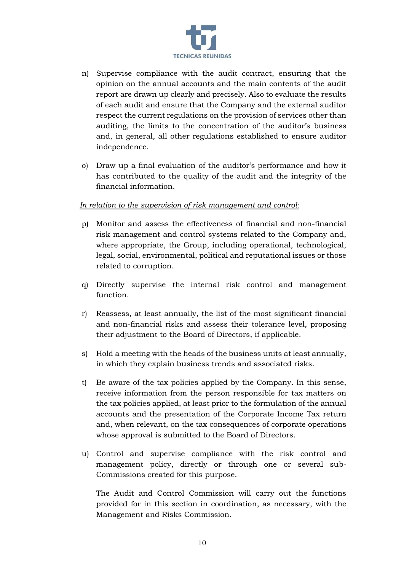

- n) Supervise compliance with the audit contract, ensuring that the opinion on the annual accounts and the main contents of the audit report are drawn up clearly and precisely. Also to evaluate the results of each audit and ensure that the Company and the external auditor respect the current regulations on the provision of services other than auditing, the limits to the concentration of the auditor's business and, in general, all other regulations established to ensure auditor independence.
- o) Draw up a final evaluation of the auditor's performance and how it has contributed to the quality of the audit and the integrity of the financial information.

#### *In relation to the supervision of risk management and control:*

- p) Monitor and assess the effectiveness of financial and non-financial risk management and control systems related to the Company and, where appropriate, the Group, including operational, technological, legal, social, environmental, political and reputational issues or those related to corruption.
- q) Directly supervise the internal risk control and management function.
- r) Reassess, at least annually, the list of the most significant financial and non-financial risks and assess their tolerance level, proposing their adjustment to the Board of Directors, if applicable.
- s) Hold a meeting with the heads of the business units at least annually, in which they explain business trends and associated risks.
- t) Be aware of the tax policies applied by the Company. In this sense, receive information from the person responsible for tax matters on the tax policies applied, at least prior to the formulation of the annual accounts and the presentation of the Corporate Income Tax return and, when relevant, on the tax consequences of corporate operations whose approval is submitted to the Board of Directors.
- u) Control and supervise compliance with the risk control and management policy, directly or through one or several sub-Commissions created for this purpose.

The Audit and Control Commission will carry out the functions provided for in this section in coordination, as necessary, with the Management and Risks Commission.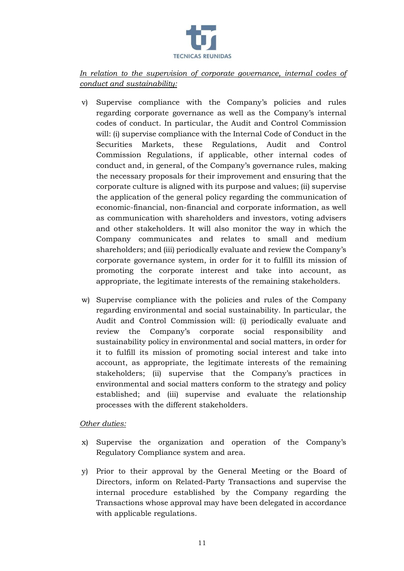

# *In relation to the supervision of corporate governance, internal codes of conduct and sustainability:*

- v) Supervise compliance with the Company's policies and rules regarding corporate governance as well as the Company's internal codes of conduct. In particular, the Audit and Control Commission will: (i) supervise compliance with the Internal Code of Conduct in the Securities Markets, these Regulations, Audit and Control Commission Regulations, if applicable, other internal codes of conduct and, in general, of the Company's governance rules, making the necessary proposals for their improvement and ensuring that the corporate culture is aligned with its purpose and values; (ii) supervise the application of the general policy regarding the communication of economic-financial, non-financial and corporate information, as well as communication with shareholders and investors, voting advisers and other stakeholders. It will also monitor the way in which the Company communicates and relates to small and medium shareholders; and (iii) periodically evaluate and review the Company's corporate governance system, in order for it to fulfill its mission of promoting the corporate interest and take into account, as appropriate, the legitimate interests of the remaining stakeholders.
- w) Supervise compliance with the policies and rules of the Company regarding environmental and social sustainability. In particular, the Audit and Control Commission will: (i) periodically evaluate and review the Company's corporate social responsibility and sustainability policy in environmental and social matters, in order for it to fulfill its mission of promoting social interest and take into account, as appropriate, the legitimate interests of the remaining stakeholders; (ii) supervise that the Company's practices in environmental and social matters conform to the strategy and policy established; and (iii) supervise and evaluate the relationship processes with the different stakeholders.

#### *Other duties:*

- x) Supervise the organization and operation of the Company's Regulatory Compliance system and area.
- y) Prior to their approval by the General Meeting or the Board of Directors, inform on Related-Party Transactions and supervise the internal procedure established by the Company regarding the Transactions whose approval may have been delegated in accordance with applicable regulations.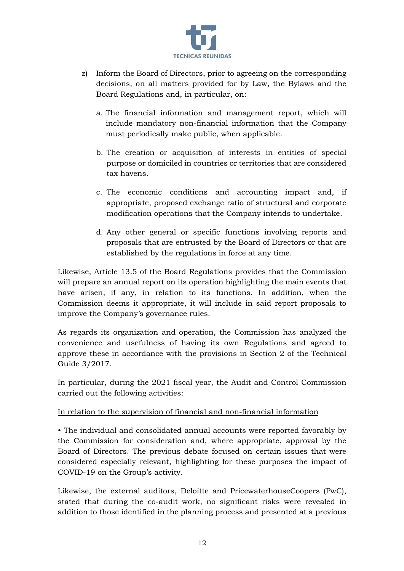

- z) Inform the Board of Directors, prior to agreeing on the corresponding decisions, on all matters provided for by Law, the Bylaws and the Board Regulations and, in particular, on:
	- a. The financial information and management report, which will include mandatory non-financial information that the Company must periodically make public, when applicable.
	- b. The creation or acquisition of interests in entities of special purpose or domiciled in countries or territories that are considered tax havens.
	- c. The economic conditions and accounting impact and, if appropriate, proposed exchange ratio of structural and corporate modification operations that the Company intends to undertake.
	- d. Any other general or specific functions involving reports and proposals that are entrusted by the Board of Directors or that are established by the regulations in force at any time.

Likewise, Article 13.5 of the Board Regulations provides that the Commission will prepare an annual report on its operation highlighting the main events that have arisen, if any, in relation to its functions. In addition, when the Commission deems it appropriate, it will include in said report proposals to improve the Company's governance rules.

As regards its organization and operation, the Commission has analyzed the convenience and usefulness of having its own Regulations and agreed to approve these in accordance with the provisions in Section 2 of the Technical Guide 3/2017.

In particular, during the 2021 fiscal year, the Audit and Control Commission carried out the following activities:

#### In relation to the supervision of financial and non-financial information

• The individual and consolidated annual accounts were reported favorably by the Commission for consideration and, where appropriate, approval by the Board of Directors. The previous debate focused on certain issues that were considered especially relevant, highlighting for these purposes the impact of COVID-19 on the Group's activity.

Likewise, the external auditors, Deloitte and PricewaterhouseCoopers (PwC), stated that during the co-audit work, no significant risks were revealed in addition to those identified in the planning process and presented at a previous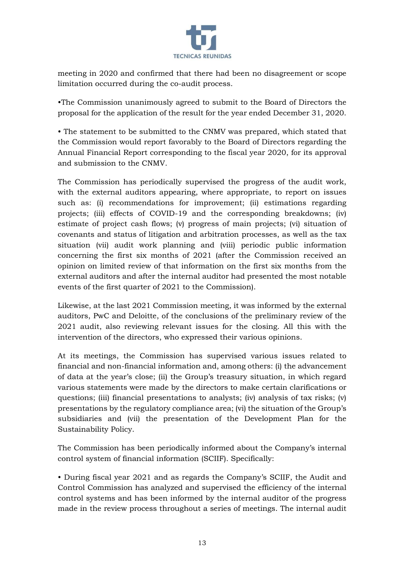

meeting in 2020 and confirmed that there had been no disagreement or scope limitation occurred during the co-audit process.

•The Commission unanimously agreed to submit to the Board of Directors the proposal for the application of the result for the year ended December 31, 2020.

• The statement to be submitted to the CNMV was prepared, which stated that the Commission would report favorably to the Board of Directors regarding the Annual Financial Report corresponding to the fiscal year 2020, for its approval and submission to the CNMV.

The Commission has periodically supervised the progress of the audit work, with the external auditors appearing, where appropriate, to report on issues such as: (i) recommendations for improvement; (ii) estimations regarding projects; (iii) effects of COVID-19 and the corresponding breakdowns; (iv) estimate of project cash flows; (v) progress of main projects; (vi) situation of covenants and status of litigation and arbitration processes, as well as the tax situation (vii) audit work planning and (viii) periodic public information concerning the first six months of 2021 (after the Commission received an opinion on limited review of that information on the first six months from the external auditors and after the internal auditor had presented the most notable events of the first quarter of 2021 to the Commission).

Likewise, at the last 2021 Commission meeting, it was informed by the external auditors, PwC and Deloitte, of the conclusions of the preliminary review of the 2021 audit, also reviewing relevant issues for the closing. All this with the intervention of the directors, who expressed their various opinions.

At its meetings, the Commission has supervised various issues related to financial and non-financial information and, among others: (i) the advancement of data at the year's close; (ii) the Group's treasury situation, in which regard various statements were made by the directors to make certain clarifications or questions; (iii) financial presentations to analysts; (iv) analysis of tax risks; (v) presentations by the regulatory compliance area; (vi) the situation of the Group's subsidiaries and (vii) the presentation of the Development Plan for the Sustainability Policy.

The Commission has been periodically informed about the Company's internal control system of financial information (SCIIF). Specifically:

• During fiscal year 2021 and as regards the Company's SCIIF, the Audit and Control Commission has analyzed and supervised the efficiency of the internal control systems and has been informed by the internal auditor of the progress made in the review process throughout a series of meetings. The internal audit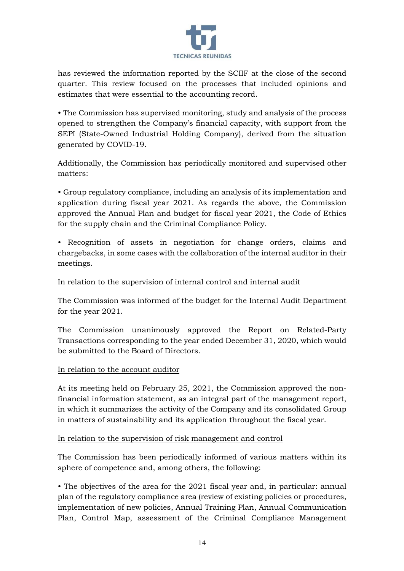

has reviewed the information reported by the SCIIF at the close of the second quarter. This review focused on the processes that included opinions and estimates that were essential to the accounting record.

• The Commission has supervised monitoring, study and analysis of the process opened to strengthen the Company's financial capacity, with support from the SEPI (State-Owned Industrial Holding Company), derived from the situation generated by COVID-19.

Additionally, the Commission has periodically monitored and supervised other matters:

• Group regulatory compliance, including an analysis of its implementation and application during fiscal year 2021. As regards the above, the Commission approved the Annual Plan and budget for fiscal year 2021, the Code of Ethics for the supply chain and the Criminal Compliance Policy.

• Recognition of assets in negotiation for change orders, claims and chargebacks, in some cases with the collaboration of the internal auditor in their meetings.

#### In relation to the supervision of internal control and internal audit

The Commission was informed of the budget for the Internal Audit Department for the year 2021.

The Commission unanimously approved the Report on Related-Party Transactions corresponding to the year ended December 31, 2020, which would be submitted to the Board of Directors.

#### In relation to the account auditor

At its meeting held on February 25, 2021, the Commission approved the nonfinancial information statement, as an integral part of the management report, in which it summarizes the activity of the Company and its consolidated Group in matters of sustainability and its application throughout the fiscal year.

#### In relation to the supervision of risk management and control

The Commission has been periodically informed of various matters within its sphere of competence and, among others, the following:

• The objectives of the area for the 2021 fiscal year and, in particular: annual plan of the regulatory compliance area (review of existing policies or procedures, implementation of new policies, Annual Training Plan, Annual Communication Plan, Control Map, assessment of the Criminal Compliance Management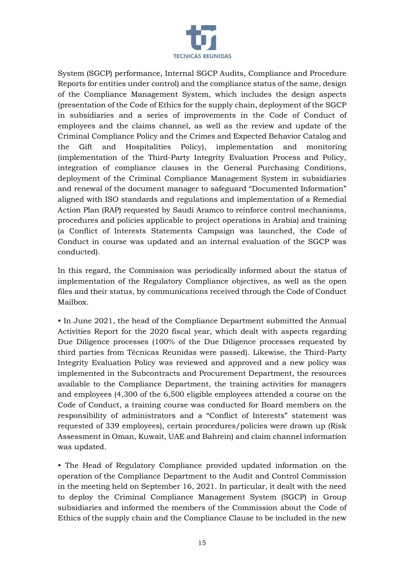

System (SGCP) performance, Internal SGCP Audits, Compliance and Procedure Reports for entities under control) and the compliance status of the same, design of the Compliance Management System, which includes the design aspects (presentation of the Code of Ethics for the supply chain, deployment of the SGCP in subsidiaries and a series of improvements in the Code of Conduct of employees and the claims channel, as well as the review and update of the Criminal Compliance Policy and the Crimes and Expected Behavior Catalog and the Gift and Hospitalities Policy), implementation and monitoring (implementation of the Third-Party Integrity Evaluation Process and Policy, integration of compliance clauses in the General Purchasing Conditions, deployment of the Criminal Compliance Management System in subsidiaries and renewal of the document manager to safeguard "Documented Information" aligned with ISO standards and regulations and implementation of a Remedial Action Plan (RAP) requested by Saudí Aramco to reinforce control mechanisms, procedures and policies applicable to project operations in Arabia) and training (a Conflict of Interests Statements Campaign was launched, the Code of Conduct in course was updated and an internal evaluation of the SGCP was conducted).

In this regard, the Commission was periodically informed about the status of implementation of the Regulatory Compliance objectives, as well as the open files and their status, by communications received through the Code of Conduct Mailbox.

• In June 2021, the head of the Compliance Department submitted the Annual Activities Report for the 2020 fiscal year, which dealt with aspects regarding Due Diligence processes (100% of the Due Diligence processes requested by third parties from Técnicas Reunidas were passed). Likewise, the Third-Party Integrity Evaluation Policy was reviewed and approved and a new policy was implemented in the Subcontracts and Procurement Department, the resources available to the Compliance Department, the training activities for managers and employees (4,300 of the 6,500 eligible employees attended a course on the Code of Conduct, a training course was conducted for Board members on the responsibility of administrators and a "Conflict of Interests" statement was requested of 339 employees), certain procedures/policies were drawn up (Risk Assessment in Oman, Kuwait, UAE and Bahrein) and claim channel information was updated.

• The Head of Regulatory Compliance provided updated information on the operation of the Compliance Department to the Audit and Control Commission in the meeting held on September 16, 2021. In particular, it dealt with the need to deploy the Criminal Compliance Management System (SGCP) in Group subsidiaries and informed the members of the Commission about the Code of Ethics of the supply chain and the Compliance Clause to be included in the new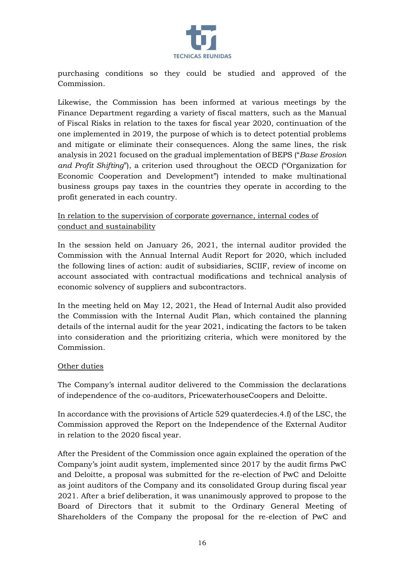

purchasing conditions so they could be studied and approved of the Commission.

Likewise, the Commission has been informed at various meetings by the Finance Department regarding a variety of fiscal matters, such as the Manual of Fiscal Risks in relation to the taxes for fiscal year 2020, continuation of the one implemented in 2019, the purpose of which is to detect potential problems and mitigate or eliminate their consequences. Along the same lines, the risk analysis in 2021 focused on the gradual implementation of BEPS ("*Base Erosion and Profit Shifting*"), a criterion used throughout the OECD ("Organization for Economic Cooperation and Development") intended to make multinational business groups pay taxes in the countries they operate in according to the profit generated in each country.

# In relation to the supervision of corporate governance, internal codes of conduct and sustainability

In the session held on January 26, 2021, the internal auditor provided the Commission with the Annual Internal Audit Report for 2020, which included the following lines of action: audit of subsidiaries, SCIIF, review of income on account associated with contractual modifications and technical analysis of economic solvency of suppliers and subcontractors.

In the meeting held on May 12, 2021, the Head of Internal Audit also provided the Commission with the Internal Audit Plan, which contained the planning details of the internal audit for the year 2021, indicating the factors to be taken into consideration and the prioritizing criteria, which were monitored by the Commission.

#### Other duties

The Company's internal auditor delivered to the Commission the declarations of independence of the co-auditors, PricewaterhouseCoopers and Deloitte.

In accordance with the provisions of Article 529 quaterdecies.4.f) of the LSC, the Commission approved the Report on the Independence of the External Auditor in relation to the 2020 fiscal year.

After the President of the Commission once again explained the operation of the Company's joint audit system, implemented since 2017 by the audit firms PwC and Deloitte, a proposal was submitted for the re-election of PwC and Deloitte as joint auditors of the Company and its consolidated Group during fiscal year 2021. After a brief deliberation, it was unanimously approved to propose to the Board of Directors that it submit to the Ordinary General Meeting of Shareholders of the Company the proposal for the re-election of PwC and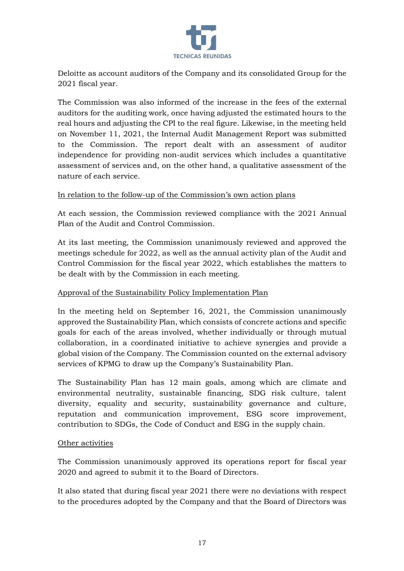

Deloitte as account auditors of the Company and its consolidated Group for the 2021 fiscal year.

The Commission was also informed of the increase in the fees of the external auditors for the auditing work, once having adjusted the estimated hours to the real hours and adjusting the CPI to the real figure. Likewise, in the meeting held on November 11, 2021, the Internal Audit Management Report was submitted to the Commission. The report dealt with an assessment of auditor independence for providing non-audit services which includes a quantitative assessment of services and, on the other hand, a qualitative assessment of the nature of each service.

#### In relation to the follow-up of the Commission's own action plans

At each session, the Commission reviewed compliance with the 2021 Annual Plan of the Audit and Control Commission.

At its last meeting, the Commission unanimously reviewed and approved the meetings schedule for 2022, as well as the annual activity plan of the Audit and Control Commission for the fiscal year 2022, which establishes the matters to be dealt with by the Commission in each meeting.

#### Approval of the Sustainability Policy Implementation Plan

In the meeting held on September 16, 2021, the Commission unanimously approved the Sustainability Plan, which consists of concrete actions and specific goals for each of the areas involved, whether individually or through mutual collaboration, in a coordinated initiative to achieve synergies and provide a global vision of the Company. The Commission counted on the external advisory services of KPMG to draw up the Company's Sustainability Plan.

The Sustainability Plan has 12 main goals, among which are climate and environmental neutrality, sustainable financing, SDG risk culture, talent diversity, equality and security, sustainability governance and culture, reputation and communication improvement, ESG score improvement, contribution to SDGs, the Code of Conduct and ESG in the supply chain.

#### Other activities

The Commission unanimously approved its operations report for fiscal year 2020 and agreed to submit it to the Board of Directors.

It also stated that during fiscal year 2021 there were no deviations with respect to the procedures adopted by the Company and that the Board of Directors was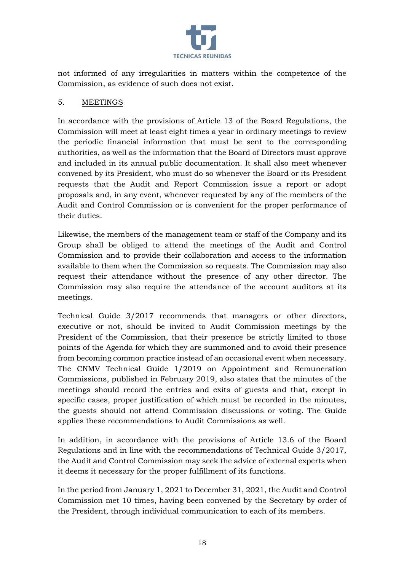

not informed of any irregularities in matters within the competence of the Commission, as evidence of such does not exist.

#### <span id="page-18-0"></span>5. MEETINGS

In accordance with the provisions of Article 13 of the Board Regulations, the Commission will meet at least eight times a year in ordinary meetings to review the periodic financial information that must be sent to the corresponding authorities, as well as the information that the Board of Directors must approve and included in its annual public documentation. It shall also meet whenever convened by its President, who must do so whenever the Board or its President requests that the Audit and Report Commission issue a report or adopt proposals and, in any event, whenever requested by any of the members of the Audit and Control Commission or is convenient for the proper performance of their duties.

Likewise, the members of the management team or staff of the Company and its Group shall be obliged to attend the meetings of the Audit and Control Commission and to provide their collaboration and access to the information available to them when the Commission so requests. The Commission may also request their attendance without the presence of any other director. The Commission may also require the attendance of the account auditors at its meetings.

Technical Guide 3/2017 recommends that managers or other directors, executive or not, should be invited to Audit Commission meetings by the President of the Commission, that their presence be strictly limited to those points of the Agenda for which they are summoned and to avoid their presence from becoming common practice instead of an occasional event when necessary. The CNMV Technical Guide 1/2019 on Appointment and Remuneration Commissions, published in February 2019, also states that the minutes of the meetings should record the entries and exits of guests and that, except in specific cases, proper justification of which must be recorded in the minutes, the guests should not attend Commission discussions or voting. The Guide applies these recommendations to Audit Commissions as well.

In addition, in accordance with the provisions of Article 13.6 of the Board Regulations and in line with the recommendations of Technical Guide 3/2017, the Audit and Control Commission may seek the advice of external experts when it deems it necessary for the proper fulfillment of its functions.

In the period from January 1, 2021 to December 31, 2021, the Audit and Control Commission met 10 times, having been convened by the Secretary by order of the President, through individual communication to each of its members.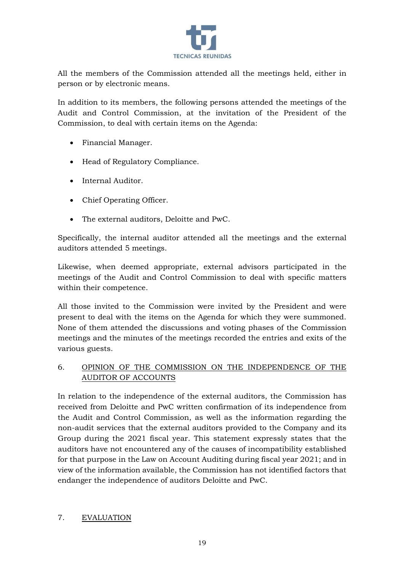

All the members of the Commission attended all the meetings held, either in person or by electronic means.

In addition to its members, the following persons attended the meetings of the Audit and Control Commission, at the invitation of the President of the Commission, to deal with certain items on the Agenda:

- Financial Manager.
- Head of Regulatory Compliance.
- Internal Auditor.
- Chief Operating Officer.
- The external auditors, Deloitte and PwC.

Specifically, the internal auditor attended all the meetings and the external auditors attended 5 meetings.

Likewise, when deemed appropriate, external advisors participated in the meetings of the Audit and Control Commission to deal with specific matters within their competence.

All those invited to the Commission were invited by the President and were present to deal with the items on the Agenda for which they were summoned. None of them attended the discussions and voting phases of the Commission meetings and the minutes of the meetings recorded the entries and exits of the various guests.

# <span id="page-19-0"></span>6. OPINION OF THE COMMISSION ON THE INDEPENDENCE OF THE AUDITOR OF ACCOUNTS

In relation to the independence of the external auditors, the Commission has received from Deloitte and PwC written confirmation of its independence from the Audit and Control Commission, as well as the information regarding the non-audit services that the external auditors provided to the Company and its Group during the 2021 fiscal year. This statement expressly states that the auditors have not encountered any of the causes of incompatibility established for that purpose in the Law on Account Auditing during fiscal year 2021; and in view of the information available, the Commission has not identified factors that endanger the independence of auditors Deloitte and PwC.

#### <span id="page-19-1"></span>7. EVALUATION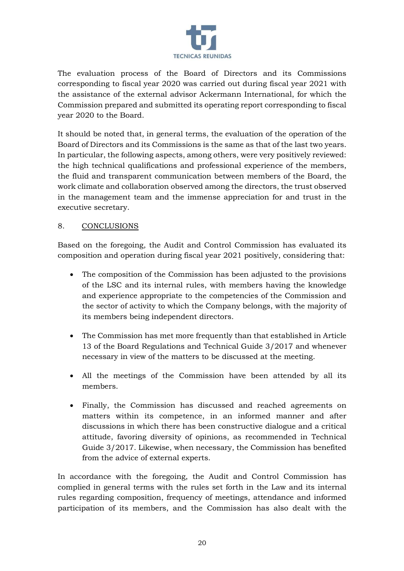

The evaluation process of the Board of Directors and its Commissions corresponding to fiscal year 2020 was carried out during fiscal year 2021 with the assistance of the external advisor Ackermann International, for which the Commission prepared and submitted its operating report corresponding to fiscal year 2020 to the Board.

It should be noted that, in general terms, the evaluation of the operation of the Board of Directors and its Commissions is the same as that of the last two years. In particular, the following aspects, among others, were very positively reviewed: the high technical qualifications and professional experience of the members, the fluid and transparent communication between members of the Board, the work climate and collaboration observed among the directors, the trust observed in the management team and the immense appreciation for and trust in the executive secretary.

# <span id="page-20-0"></span>8. CONCLUSIONS

Based on the foregoing, the Audit and Control Commission has evaluated its composition and operation during fiscal year 2021 positively, considering that:

- The composition of the Commission has been adjusted to the provisions of the LSC and its internal rules, with members having the knowledge and experience appropriate to the competencies of the Commission and the sector of activity to which the Company belongs, with the majority of its members being independent directors.
- The Commission has met more frequently than that established in Article 13 of the Board Regulations and Technical Guide 3/2017 and whenever necessary in view of the matters to be discussed at the meeting.
- All the meetings of the Commission have been attended by all its members.
- Finally, the Commission has discussed and reached agreements on matters within its competence, in an informed manner and after discussions in which there has been constructive dialogue and a critical attitude, favoring diversity of opinions, as recommended in Technical Guide 3/2017. Likewise, when necessary, the Commission has benefited from the advice of external experts.

In accordance with the foregoing, the Audit and Control Commission has complied in general terms with the rules set forth in the Law and its internal rules regarding composition, frequency of meetings, attendance and informed participation of its members, and the Commission has also dealt with the